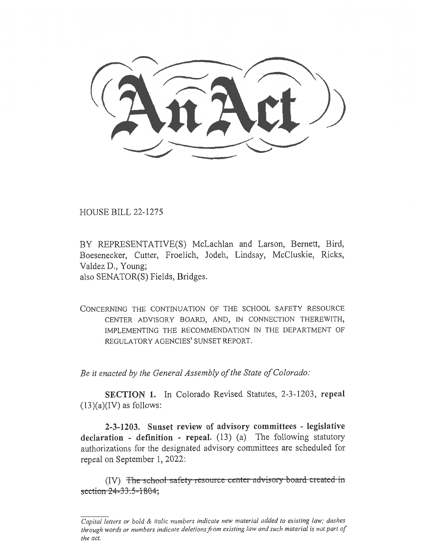HOUSE BILL 22-1275

BY REPRESENTATIVE(S) McLachlan and Larson, Bernett, Bird, Boesenecker, Cutter, Froelich, Jodeh, Lindsay, McCluskie, Ricks, Valdez D., Young; also SENATOR(S) Fields, Bridges.

CONCERNING THE CONTINUATION OF THE SCHOOL SAFETY RESOURCE CENTER ADVISORY BOARD, AND, IN CONNECTION THEREWITH, IMPLEMENTING THE RECOMMENDATION IN THE DEPARTMENT OF REGULATORY AGENCIES' SUNSET REPORT.

Be it enacted by the General Assembly of the State of Colorado:

SECTION 1. In Colorado Revised Statutes, 2-3-1203, repeal  $(13)(a)(IV)$  as follows:

2-3-1203. Sunset review of advisory committees - legislative declaration - definition - repeal. (13) (a) The following statutory authorizations for the designated advisory committees are scheduled for repeal on September 1, 2022:

 $(IV)$  The school-safety-resource-center-advisory-board-created-insection  $24 - 33.5 - 1804$ ;

Capital letters or bold & italic numbers indicate new material added to existing law; dashes through words or numbers indicate deletions from existing law and such material is not part of the act.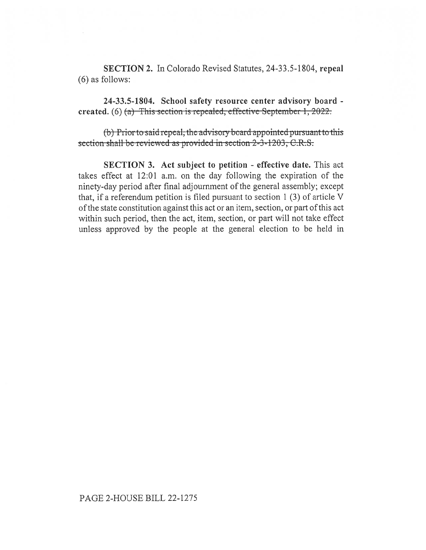SECTION 2. In Colorado Revised Statutes, 24-33.5-1804, repeal (6) as follows:

24-33.5-1804. School safety resource center advisory board created. (6)  $(a)$  This section is repealed, effective September 1, 2022.

(b) Prior to said repeal, the advisory board appointed pursuant to this section shall be reviewed as provided in section 2-3-1203, C.R.S.

SECTION 3. Act subject to petition - effective date. This act takes effect at 12:01 a.m. on the day following the expiration of the ninety-day period after final adjournment of the general assembly; except that, if a referendum petition is filed pursuant to section 1 (3) of article V of the state constitution against this act or an item, section, or part of this act within such period, then the act, item, section, or part will not take effect unless approved by the people at the general election to be held in